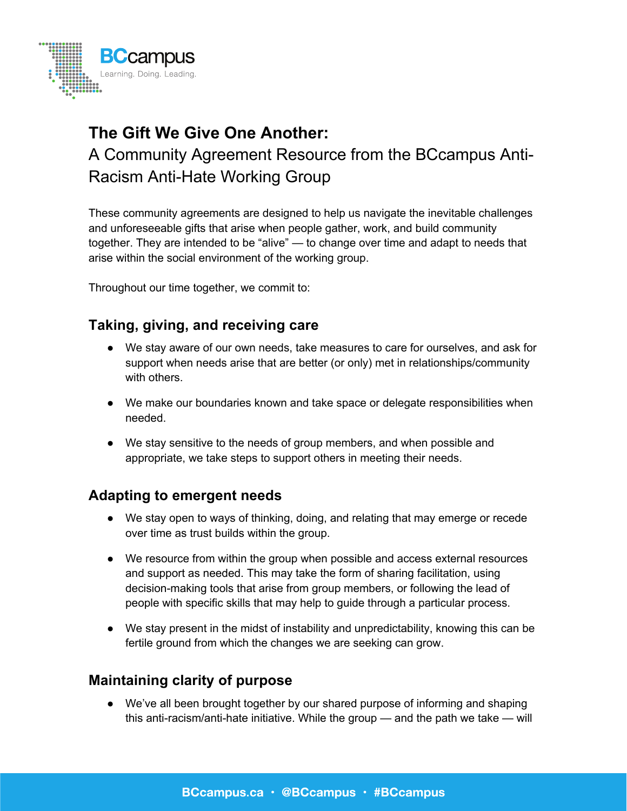

# **The Gift We Give One Another:** A Community Agreement Resource from the BCcampus Anti-Racism Anti-Hate Working Group

These community agreements are designed to help us navigate the inevitable challenges and unforeseeable gifts that arise when people gather, work, and build community together. They are intended to be "alive" — to change over time and adapt to needs that arise within the social environment of the working group.

Throughout our time together, we commit to:

## **Taking, giving, and receiving care**

- We stay aware of our own needs, take measures to care for ourselves, and ask for support when needs arise that are better (or only) met in relationships/community with others.
- We make our boundaries known and take space or delegate responsibilities when needed.
- We stay sensitive to the needs of group members, and when possible and appropriate, we take steps to support others in meeting their needs.

## **Adapting to emergent needs**

- We stay open to ways of thinking, doing, and relating that may emerge or recede over time as trust builds within the group.
- We resource from within the group when possible and access external resources and support as needed. This may take the form of sharing facilitation, using decision-making tools that arise from group members, or following the lead of people with specific skills that may help to guide through a particular process.
- We stay present in the midst of instability and unpredictability, knowing this can be fertile ground from which the changes we are seeking can grow.

## **Maintaining clarity of purpose**

● We've all been brought together by our shared purpose of informing and shaping this anti-racism/anti-hate initiative. While the group — and the path we take — will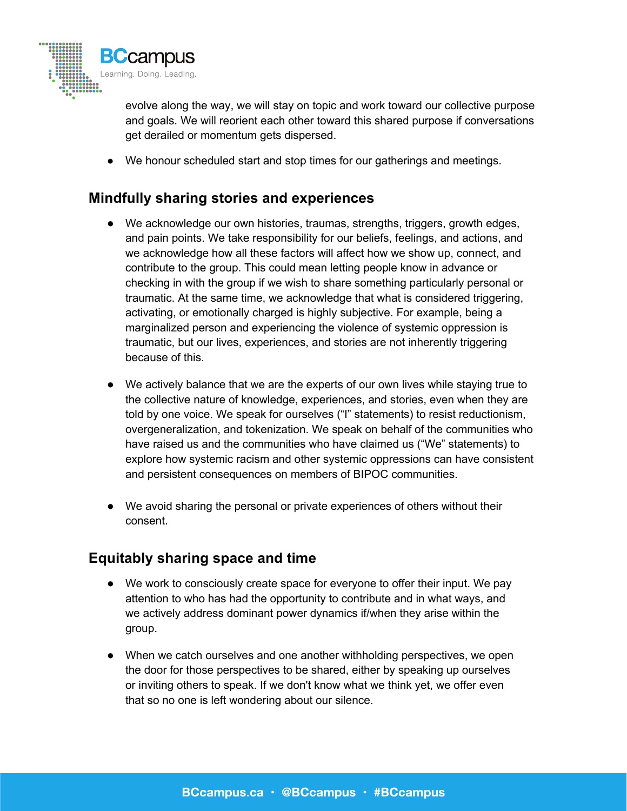

evolve along the way, we will stay on topic and work toward our collective purpose and goals. We will reorient each other toward this shared purpose if conversations get derailed or momentum gets dispersed.

● We honour scheduled start and stop times for our gatherings and meetings.

## **Mindfully sharing stories and experiences**

- We acknowledge our own histories, traumas, strengths, triggers, growth edges, and pain points. We take responsibility for our beliefs, feelings, and actions, and we acknowledge how all these factors will affect how we show up, connect, and contribute to the group. This could mean letting people know in advance or checking in with the group if we wish to share something particularly personal or traumatic. At the same time, we acknowledge that what is considered triggering, activating, or emotionally charged is highly subjective. For example, being a marginalized person and experiencing the violence of systemic oppression is traumatic, but our lives, experiences, and stories are not inherently triggering because of this.
- We actively balance that we are the experts of our own lives while staying true to the collective nature of knowledge, experiences, and stories, even when they are told by one voice. We speak for ourselves ("I" statements) to resist reductionism, overgeneralization, and tokenization. We speak on behalf of the communities who have raised us and the communities who have claimed us ("We" statements) to explore how systemic racism and other systemic oppressions can have consistent and persistent consequences on members of BIPOC communities.
- We avoid sharing the personal or private experiences of others without their consent.

#### **Equitably sharing space and time**

- We work to consciously create space for everyone to offer their input. We pay attention to who has had the opportunity to contribute and in what ways, and we actively address dominant power dynamics if/when they arise within the group.
- When we catch ourselves and one another withholding perspectives, we open the door for those perspectives to be shared, either by speaking up ourselves or inviting others to speak. If we don't know what we think yet, we offer even that so no one is left wondering about our silence.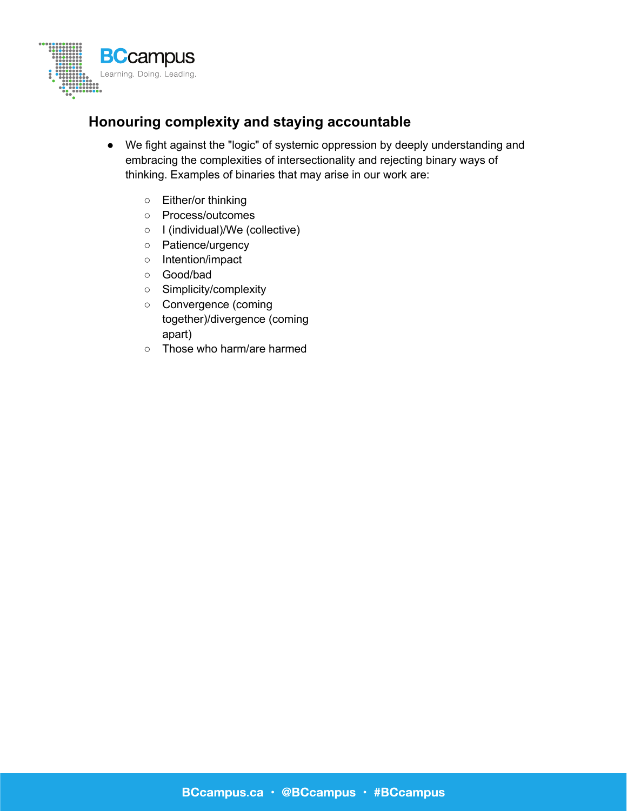

# **Honouring complexity and staying accountable**

- We fight against the "logic" of systemic oppression by deeply understanding and embracing the complexities of intersectionality and rejecting binary ways of thinking. Examples of binaries that may arise in our work are:
	- Either/or thinking
	- Process/outcomes
	- I (individual)/We (collective)
	- Patience/urgency
	- Intention/impact
	- Good/bad
	- Simplicity/complexity
	- Convergence (coming together)/divergence (coming apart)
	- Those who harm/are harmed